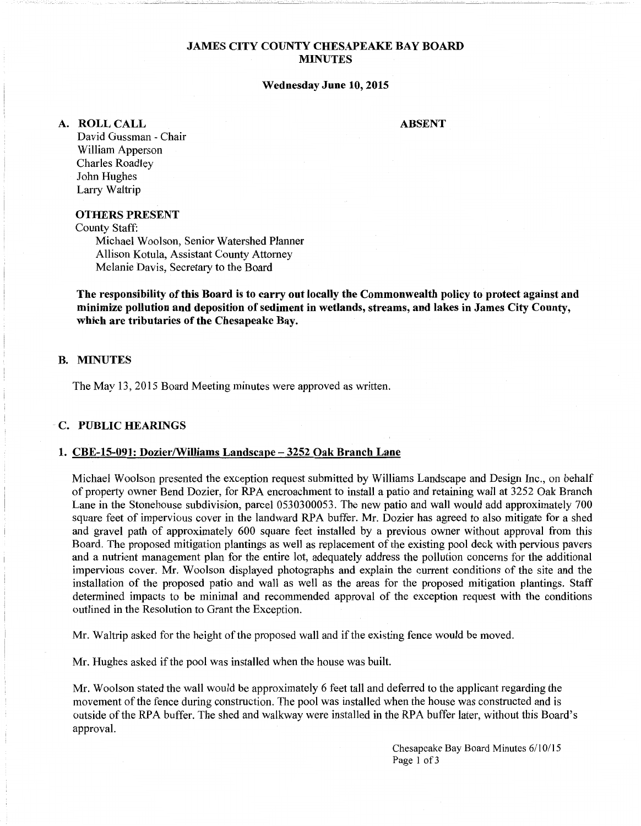# **JAMES CITY COUNTY CHESAPEAKE BAY BOARD MINUTES**

#### **Wednesday June 10, 2015**

**ABSENT** 

**A. ROLLCALL** 

David Gussman - Chair William Apperson Charles Roadley John Hughes Larry Waltrip

# **OTHERS PRESENT**

County Staff:

Michael Woolson, Senior Watershed Planner Allison Kotula, Assistant County Attorney Melanie Davis, Secretary to the Board

**The responsibility of this Board is to carry out locally the Commonwealth policy to protect against and minimize pollution and deposition of sediment in wetlands, streams, and lakes in James City County, which are tributaries of the Chesapeake Bay.** 

## **B. MINUTES**

The May 13, 2015 Board Meeting minutes were approved as written.

## **C. PUBLIC HEARINGS**

#### **1. CBE-15-091: Dozier/Williams Landscape-3252 Oak Branch Lane**

Michael Woolson presented the exception request submitted by Williams Landscape and Design Inc., on behalf of property owner Bend Dozier, for RPA encroachment to install a patio and retaining wall at 3252 Oak Branch Lane in the Stonehouse subdivision, parcel 0530300053. The new patio and wall would add approximately 700 square feet of impervious cover in the landward RPA buffer. Mr. Dozier has agreed to also mitigate for a shed and gravel path of approximately 600 square feet installed by a previous owner without approval from this Board. The proposed mitigation plantings as well as replacement of the existing pool deck with pervious pavers and a nutrient management plan for the entire lot, adequately address the pollution concerns for the additional impervious cover. Mr. Woolson displayed photographs and explain the current conditions of the site and the installation of the proposed patio and wall as well as the areas for the proposed mitigation plantings. Staff determined impacts to be minimal and recommended approval of the exception request with the conditions outlined in the Resolution to Grant the Exception.

Mr. Waltrip asked for the height of the proposed wall and if the existing fence would be moved.

Mr. Hughes asked if the pool was installed when the house was built.

Mr. Woolson stated the wall would be approximately 6 feet tall and deferred to the applicant regarding the movement of the fence during construction. The pool was installed when the house was constructed and is outside of the RPA buffer. The shed and walkway were installed in the RPA buffer later, without this Board's approval.

> Chesapeake Bay Board Minutes 6/10/15 Page 1 of 3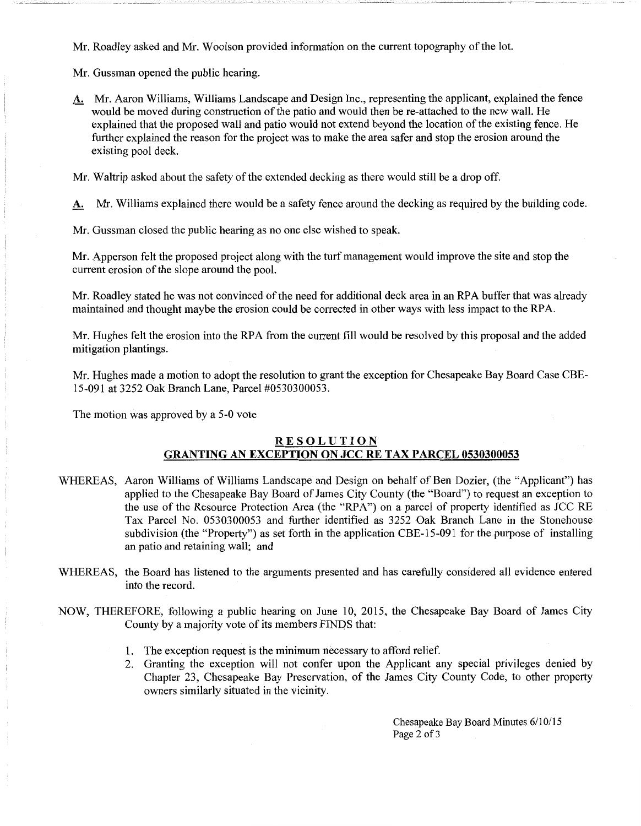Mr. Roadley asked and Mr. Woolson provided information on the current topography of the lot.

Mr. Gussman opened the public hearing.

A. Mr. Aaron Williams, Williams Landscape and Design Inc., representing the applicant, explained the fence would be moved during construction of the patio and would then be re-attached to the new wall. He explained that the proposed wall and patio would not extend beyond the location of the existing fence. He further explained the reason for the project was to make the area safer and stop the erosion around the existing pool deck.

Mr. Waltrip asked about the safety of the extended decking as there would still be a drop off.

A. Mr. Williams explained there would be a safety fence around the decking as required by the building code.

Mr. Gussman closed the public hearing as no one else wished to speak.

Mr. Apperson felt the proposed project along with the turf management would improve the site and stop the current erosion of the slope around the pool.

Mr. Roadley stated he was not convinced of the need for additional deck area in an RPA buffer that was already maintained and thought maybe the erosion could be corrected in other ways with less impact to the RPA.

Mr. Hughes felt the erosion into the RPA from the current fill would be resolved by this proposal and the added mitigation plantings.

Mr. Hughes made a motion to adopt the resolution to grant the exception for Chesapeake Bay Board Case CBE-15-091 at 3252 Oak Branch Lane, Parcel #0530300053.

The motion was approved by a 5-0 vote

# RESOLUTION GRANTING AN EXCEPTION ON JCC RE TAX PARCEL 0530300053

- WHEREAS, Aaron Williams of Williams Landscape and Design on behalf of Ben Dozier, (the "Applicant") has applied to the Chesapeake Bay Board of James City County (the "Board") to request an exception to the use of the Resource Protection Area (the "RPA") on a parcel of property identified as JCC RE Tax Parcel No. 0530300053 and further identified as 3252 Oak Branch Lane in the Stonehouse subdivision (the "Property") as set forth in the application CBE-15-091 for the purpose of installing an patio and retaining wall; and
- WHEREAS, the Board has listened to the arguments presented and has carefully considered all evidence entered into the record.
- NOW, THEREFORE, following a public hearing on June 10, 2015, the Chesapeake Bay Board of James City County by a majority vote of its members FINDS that:
	- 1. The exception request is the minimum necessary to afford relief.
	- 2. Granting the exception will not confer upon the Applicant any special privileges denied by Chapter 23, Chesapeake Bay Preservation, of the James City County Code, to other property owners similarly situated in the vicinity.

Chesapeake Bay Board Minutes 6/10/15 Page 2 of 3